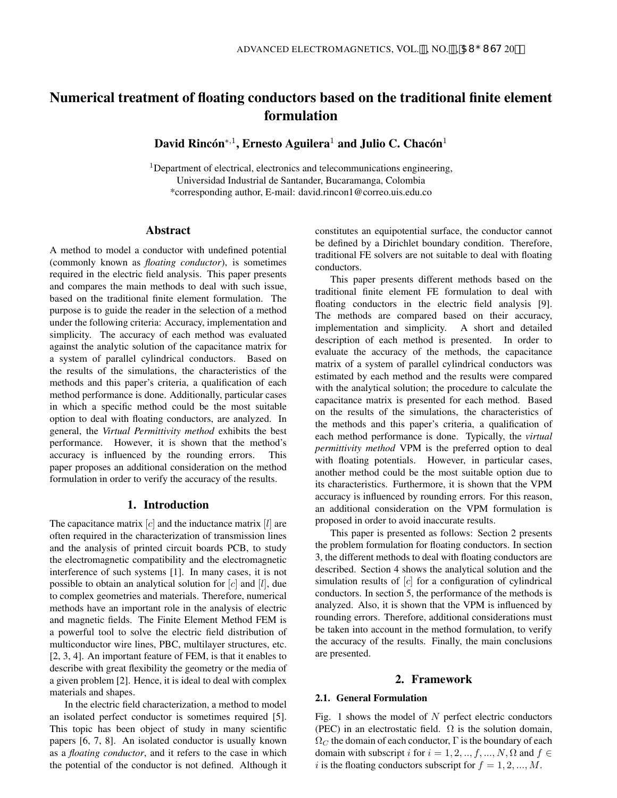# Numerical treatment of floating conductors based on the traditional finite element formulation

David Rincón $^{*,1}$ , Ernesto Aguilera<sup>1</sup> and Julio C. Chacón<sup>1</sup>

<sup>1</sup>Department of electrical, electronics and telecommunications engineering, Universidad Industrial de Santander, Bucaramanga, Colombia \*corresponding author, E-mail: david.rincon1@correo.uis.edu.co

# Abstract

A method to model a conductor with undefined potential (commonly known as *floating conductor*), is sometimes required in the electric field analysis. This paper presents and compares the main methods to deal with such issue, based on the traditional finite element formulation. The purpose is to guide the reader in the selection of a method under the following criteria: Accuracy, implementation and simplicity. The accuracy of each method was evaluated against the analytic solution of the capacitance matrix for a system of parallel cylindrical conductors. Based on the results of the simulations, the characteristics of the methods and this paper's criteria, a qualification of each method performance is done. Additionally, particular cases in which a specific method could be the most suitable option to deal with floating conductors, are analyzed. In general, the *Virtual Permittivity method* exhibits the best performance. However, it is shown that the method's accuracy is influenced by the rounding errors. This paper proposes an additional consideration on the method formulation in order to verify the accuracy of the results.

# 1. Introduction

The capacitance matrix  $[c]$  and the inductance matrix  $[l]$  are often required in the characterization of transmission lines and the analysis of printed circuit boards PCB, to study the electromagnetic compatibility and the electromagnetic interference of such systems [1]. In many cases, it is not possible to obtain an analytical solution for  $[c]$  and  $[l]$ , due to complex geometries and materials. Therefore, numerical methods have an important role in the analysis of electric and magnetic fields. The Finite Element Method FEM is a powerful tool to solve the electric field distribution of multiconductor wire lines, PBC, multilayer structures, etc. [2, 3, 4]. An important feature of FEM, is that it enables to describe with great flexibility the geometry or the media of a given problem [2]. Hence, it is ideal to deal with complex materials and shapes.

In the electric field characterization, a method to model an isolated perfect conductor is sometimes required [5]. This topic has been object of study in many scientific papers [6, 7, 8]. An isolated conductor is usually known as a *floating conductor*, and it refers to the case in which the potential of the conductor is not defined. Although it constitutes an equipotential surface, the conductor cannot be defined by a Dirichlet boundary condition. Therefore, traditional FE solvers are not suitable to deal with floating conductors.

This paper presents different methods based on the traditional finite element FE formulation to deal with floating conductors in the electric field analysis [9]. The methods are compared based on their accuracy, implementation and simplicity. A short and detailed description of each method is presented. In order to evaluate the accuracy of the methods, the capacitance matrix of a system of parallel cylindrical conductors was estimated by each method and the results were compared with the analytical solution; the procedure to calculate the capacitance matrix is presented for each method. Based on the results of the simulations, the characteristics of the methods and this paper's criteria, a qualification of each method performance is done. Typically, the *virtual permittivity method* VPM is the preferred option to deal with floating potentials. However, in particular cases, another method could be the most suitable option due to its characteristics. Furthermore, it is shown that the VPM accuracy is influenced by rounding errors. For this reason, an additional consideration on the VPM formulation is proposed in order to avoid inaccurate results.

This paper is presented as follows: Section 2 presents the problem formulation for floating conductors. In section 3, the different methods to deal with floating conductors are described. Section 4 shows the analytical solution and the simulation results of [c] for a configuration of cylindrical conductors. In section 5, the performance of the methods is analyzed. Also, it is shown that the VPM is influenced by rounding errors. Therefore, additional considerations must be taken into account in the method formulation, to verify the accuracy of the results. Finally, the main conclusions are presented.

### 2. Framework

## 2.1. General Formulation

Fig. 1 shows the model of  $N$  perfect electric conductors (PEC) in an electrostatic field.  $\Omega$  is the solution domain,  $\Omega_C$  the domain of each conductor,  $\Gamma$  is the boundary of each domain with subscript i for  $i = 1, 2, ..., f, ..., N$ ,  $\Omega$  and  $f \in$ i is the floating conductors subscript for  $f = 1, 2, ..., M$ .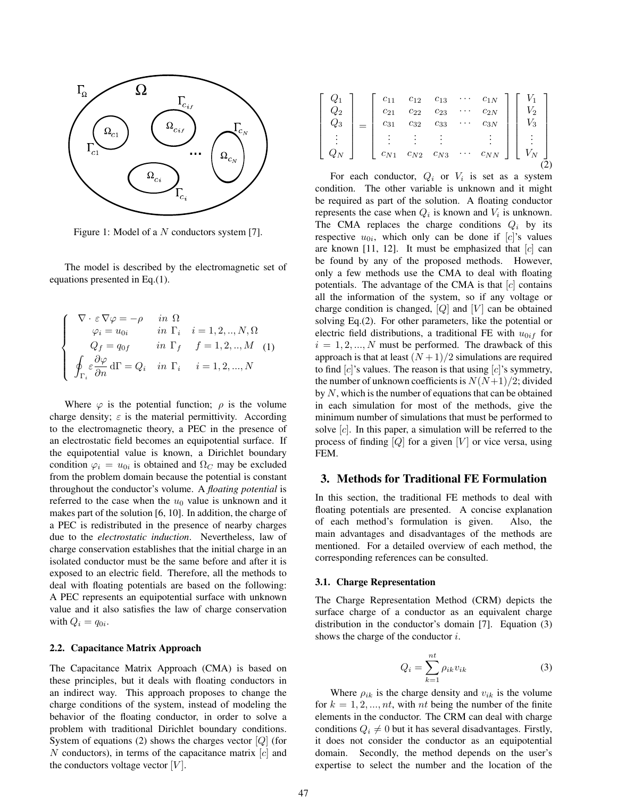

Figure 1: Model of a N conductors system [7].

The model is described by the electromagnetic set of equations presented in Eq.(1).

$$
\begin{cases}\n\nabla \cdot \varepsilon \nabla \varphi = -\rho & \text{in } \Omega \\
\varphi_i = u_{0i} & \text{in } \Gamma_i \quad i = 1, 2, ..., N, \Omega \\
Q_f = q_{0f} & \text{in } \Gamma_f \quad f = 1, 2, ..., M \quad (1) \\
\oint_{\Gamma_i} \varepsilon \frac{\partial \varphi}{\partial n} d\Gamma = Q_i & \text{in } \Gamma_i \quad i = 1, 2, ..., N\n\end{cases}
$$

Where  $\varphi$  is the potential function;  $\rho$  is the volume charge density;  $\varepsilon$  is the material permittivity. According to the electromagnetic theory, a PEC in the presence of an electrostatic field becomes an equipotential surface. If the equipotential value is known, a Dirichlet boundary condition  $\varphi_i = u_{0i}$  is obtained and  $\Omega_C$  may be excluded from the problem domain because the potential is constant throughout the conductor's volume. A *floating potential* is referred to the case when the  $u_0$  value is unknown and it makes part of the solution [6, 10]. In addition, the charge of a PEC is redistributed in the presence of nearby charges due to the *electrostatic induction*. Nevertheless, law of charge conservation establishes that the initial charge in an isolated conductor must be the same before and after it is exposed to an electric field. Therefore, all the methods to deal with floating potentials are based on the following: A PEC represents an equipotential surface with unknown value and it also satisfies the law of charge conservation with  $Q_i = q_{0i}$ .

## 2.2. Capacitance Matrix Approach

The Capacitance Matrix Approach (CMA) is based on these principles, but it deals with floating conductors in an indirect way. This approach proposes to change the charge conditions of the system, instead of modeling the behavior of the floating conductor, in order to solve a problem with traditional Dirichlet boundary conditions. System of equations (2) shows the charges vector  $[Q]$  (for  $N$  conductors), in terms of the capacitance matrix  $[c]$  and the conductors voltage vector  $|V|$ .

| $\mathcal{Q}_{3}$ | $c_{11}$<br>$c_{21}$                                                                                                                                                              | $\begin{array}{ccc} c_{12} & c_{13} \\ c_{22} & c_{23} \\ c_{32} & c_{33} \\ \end{array}$ | $\cdots$ $c_{1N}$<br>$c_{2{\cal N}}$<br>$c_{3N}$ | $\frac{V_1}{V_2}$<br>$\frac{V_3}{V_3}$ |
|-------------------|-----------------------------------------------------------------------------------------------------------------------------------------------------------------------------------|-------------------------------------------------------------------------------------------|--------------------------------------------------|----------------------------------------|
|                   | $\begin{array}{ c c } \hline \begin{array}{ccccc} & & c_{31} & & c_{32} & & \ & \vdots & & \vdots & & \vdots \ & & c_{N1} & & c_{N2} & & c_{N3} \ \hline \end{array} \end{array}$ |                                                                                           | $c_{NN}$                                         | $\vdots$<br>$V_N$                      |

For each conductor,  $Q_i$  or  $V_i$  is set as a system condition. The other variable is unknown and it might be required as part of the solution. A floating conductor represents the case when  $Q_i$  is known and  $V_i$  is unknown. The CMA replaces the charge conditions  $Q_i$  by its respective  $u_{0i}$ , which only can be done if [c]'s values are known [11, 12]. It must be emphasized that  $[c]$  can be found by any of the proposed methods. However, only a few methods use the CMA to deal with floating potentials. The advantage of the CMA is that  $[c]$  contains all the information of the system, so if any voltage or charge condition is changed,  $[Q]$  and  $[V]$  can be obtained solving Eq.(2). For other parameters, like the potential or electric field distributions, a traditional FE with  $u_{0if}$  for  $i = 1, 2, ..., N$  must be performed. The drawback of this approach is that at least  $(N+1)/2$  simulations are required to find  $[c]$ 's values. The reason is that using  $[c]$ 's symmetry, the number of unknown coefficients is  $N(N+1)/2$ ; divided by  $N$ , which is the number of equations that can be obtained in each simulation for most of the methods, give the minimum number of simulations that must be performed to solve  $[c]$ . In this paper, a simulation will be referred to the process of finding  $[Q]$  for a given  $[V]$  or vice versa, using FEM.

## 3. Methods for Traditional FE Formulation

In this section, the traditional FE methods to deal with floating potentials are presented. A concise explanation of each method's formulation is given. Also, the main advantages and disadvantages of the methods are mentioned. For a detailed overview of each method, the corresponding references can be consulted.

### 3.1. Charge Representation

The Charge Representation Method (CRM) depicts the surface charge of a conductor as an equivalent charge distribution in the conductor's domain [7]. Equation (3) shows the charge of the conductor  $i$ .

$$
Q_i = \sum_{k=1}^{nt} \rho_{ik} v_{ik}
$$
 (3)

Where  $\rho_{ik}$  is the charge density and  $v_{ik}$  is the volume for  $k = 1, 2, ..., nt$ , with nt being the number of the finite elements in the conductor. The CRM can deal with charge conditions  $Q_i \neq 0$  but it has several disadvantages. Firstly, it does not consider the conductor as an equipotential domain. Secondly, the method depends on the user's expertise to select the number and the location of the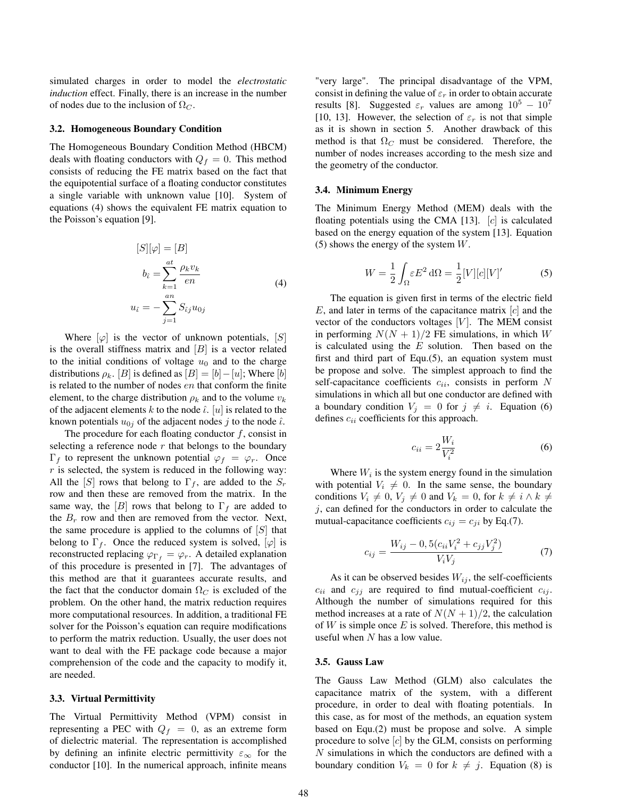simulated charges in order to model the *electrostatic induction* effect. Finally, there is an increase in the number of nodes due to the inclusion of  $\Omega_C$ .

## 3.2. Homogeneous Boundary Condition

The Homogeneous Boundary Condition Method (HBCM) deals with floating conductors with  $Q_f = 0$ . This method consists of reducing the FE matrix based on the fact that the equipotential surface of a floating conductor constitutes a single variable with unknown value [10]. System of equations (4) shows the equivalent FE matrix equation to the Poisson's equation [9].

$$
[S][\varphi] = [B]
$$
  

$$
b_i = \sum_{k=1}^{at} \frac{\rho_k v_k}{en}
$$
  

$$
u_i = -\sum_{j=1}^{an} S_{ij} u_{0j}
$$
 (4)

Where  $[\varphi]$  is the vector of unknown potentials,  $[S]$ is the overall stiffness matrix and  $[B]$  is a vector related to the initial conditions of voltage  $u_0$  and to the charge distributions  $\rho_k$ . [B] is defined as  $[B] = [b] - [u]$ ; Where [b] is related to the number of nodes en that conform the finite element, to the charge distribution  $\rho_k$  and to the volume  $v_k$ of the adjacent elements k to the node  $\hat{i}$ . [u] is related to the known potentials  $u_{0i}$  of the adjacent nodes j to the node  $\hat{\iota}$ .

The procedure for each floating conductor  $f$ , consist in selecting a reference node  $r$  that belongs to the boundary  $\Gamma_f$  to represent the unknown potential  $\varphi_f = \varphi_r$ . Once  $r$  is selected, the system is reduced in the following way: All the [S] rows that belong to  $\Gamma_f$ , are added to the  $S_r$ row and then these are removed from the matrix. In the same way, the [B] rows that belong to  $\Gamma_f$  are added to the  $B_r$  row and then are removed from the vector. Next, the same procedure is applied to the columns of  $[S]$  that belong to  $\Gamma_f$ . Once the reduced system is solved,  $[\varphi]$  is reconstructed replacing  $\varphi_{\Gamma_f} = \varphi_r$ . A detailed explanation of this procedure is presented in [7]. The advantages of this method are that it guarantees accurate results, and the fact that the conductor domain  $\Omega_C$  is excluded of the problem. On the other hand, the matrix reduction requires more computational resources. In addition, a traditional FE solver for the Poisson's equation can require modifications to perform the matrix reduction. Usually, the user does not want to deal with the FE package code because a major comprehension of the code and the capacity to modify it, are needed.

#### 3.3. Virtual Permittivity

The Virtual Permittivity Method (VPM) consist in representing a PEC with  $Q_f = 0$ , as an extreme form of dielectric material. The representation is accomplished by defining an infinite electric permittivity  $\varepsilon_{\infty}$  for the conductor [10]. In the numerical approach, infinite means "very large". The principal disadvantage of the VPM, consist in defining the value of  $\varepsilon_r$  in order to obtain accurate results [8]. Suggested  $\varepsilon_r$  values are among  $10^5 - 10^7$ [10, 13]. However, the selection of  $\varepsilon_r$  is not that simple as it is shown in section 5. Another drawback of this method is that  $\Omega_C$  must be considered. Therefore, the number of nodes increases according to the mesh size and the geometry of the conductor.

#### 3.4. Minimum Energy

The Minimum Energy Method (MEM) deals with the floating potentials using the CMA [13].  $[c]$  is calculated based on the energy equation of the system [13]. Equation (5) shows the energy of the system  $W$ .

$$
W = \frac{1}{2} \int_{\Omega} \varepsilon E^2 d\Omega = \frac{1}{2} [V] [c] [V]'
$$
 (5)

The equation is given first in terms of the electric field  $E$ , and later in terms of the capacitance matrix  $|c|$  and the vector of the conductors voltages  $[V]$ . The MEM consist in performing  $N(N + 1)/2$  FE simulations, in which W is calculated using the  $E$  solution. Then based on the first and third part of Equ.(5), an equation system must be propose and solve. The simplest approach to find the self-capacitance coefficients  $c_{ii}$ , consists in perform N simulations in which all but one conductor are defined with a boundary condition  $V_j = 0$  for  $j \neq i$ . Equation (6) defines  $c_{ii}$  coefficients for this approach.

$$
c_{ii} = 2\frac{W_i}{V_i^2} \tag{6}
$$

Where  $W_i$  is the system energy found in the simulation with potential  $V_i \neq 0$ . In the same sense, the boundary conditions  $V_i \neq 0$ ,  $V_j \neq 0$  and  $V_k = 0$ , for  $k \neq i \wedge k \neq j$  $j$ , can defined for the conductors in order to calculate the mutual-capacitance coefficients  $c_{ij} = c_{ji}$  by Eq.(7).

$$
c_{ij} = \frac{W_{ij} - 0, 5(c_{ii}V_i^2 + c_{jj}V_j^2)}{V_iV_j}
$$
(7)

As it can be observed besides  $W_{ij}$ , the self-coefficients  $c_{ii}$  and  $c_{jj}$  are required to find mutual-coefficient  $c_{ij}$ . Although the number of simulations required for this method increases at a rate of  $N(N + 1)/2$ , the calculation of  $W$  is simple once  $E$  is solved. Therefore, this method is useful when  $N$  has a low value.

#### 3.5. Gauss Law

The Gauss Law Method (GLM) also calculates the capacitance matrix of the system, with a different procedure, in order to deal with floating potentials. In this case, as for most of the methods, an equation system based on Equ.(2) must be propose and solve. A simple procedure to solve  $[c]$  by the GLM, consists on performing N simulations in which the conductors are defined with a boundary condition  $V_k = 0$  for  $k \neq j$ . Equation (8) is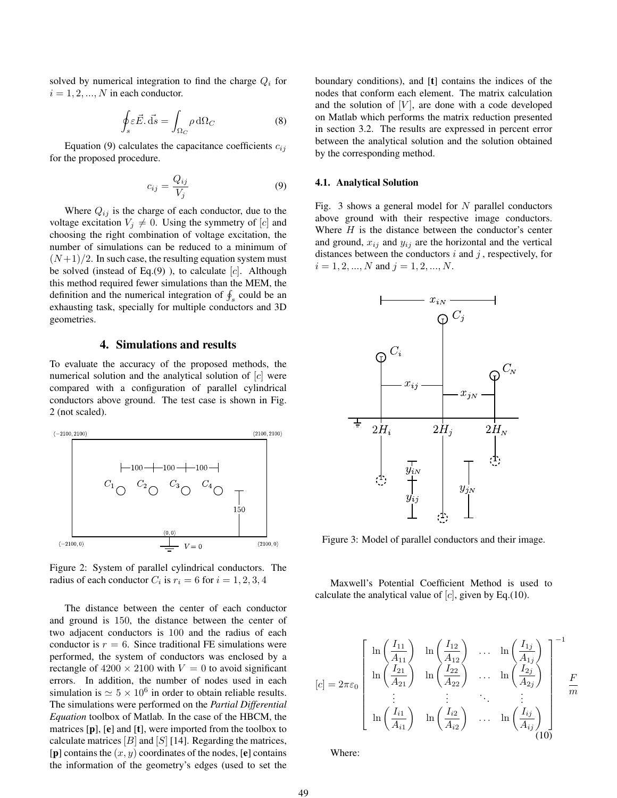solved by numerical integration to find the charge  $Q_i$  for  $i = 1, 2, ..., N$  in each conductor.

$$
\oint_{s} \varepsilon \vec{E} \cdot \vec{ds} = \int_{\Omega_{C}} \rho \, d\Omega_{C} \tag{8}
$$

Equation (9) calculates the capacitance coefficients  $c_{ij}$ for the proposed procedure.

$$
c_{ij} = \frac{Q_{ij}}{V_j} \tag{9}
$$

Where  $Q_{ij}$  is the charge of each conductor, due to the voltage excitation  $V_j \neq 0$ . Using the symmetry of [c] and choosing the right combination of voltage excitation, the number of simulations can be reduced to a minimum of  $(N+1)/2$ . In such case, the resulting equation system must be solved (instead of Eq.(9)), to calculate  $[c]$ . Although this method required fewer simulations than the MEM, the definition and the numerical integration of  $\oint_s$  could be an exhausting task, specially for multiple conductors and 3D geometries.

## 4. Simulations and results

To evaluate the accuracy of the proposed methods, the numerical solution and the analytical solution of [c] were compared with a configuration of parallel cylindrical conductors above ground. The test case is shown in Fig. 2 (not scaled).



Figure 2: System of parallel cylindrical conductors. The radius of each conductor  $C_i$  is  $r_i = 6$  for  $i = 1, 2, 3, 4$ 

The distance between the center of each conductor and ground is 150, the distance between the center of two adjacent conductors is 100 and the radius of each conductor is  $r = 6$ . Since traditional FE simulations were performed, the system of conductors was enclosed by a rectangle of  $4200 \times 2100$  with  $V = 0$  to avoid significant errors. In addition, the number of nodes used in each simulation is  $\simeq 5 \times 10^6$  in order to obtain reliable results. The simulations were performed on the *Partial Differential Equation* toolbox of Matlab. In the case of the HBCM, the matrices  $[p]$ ,  $[e]$  and  $[t]$ , were imported from the toolbox to calculate matrices  $[B]$  and  $[S]$  [14]. Regarding the matrices,  $[p]$  contains the  $(x, y)$  coordinates of the nodes,  $[e]$  contains the information of the geometry's edges (used to set the boundary conditions), and [t] contains the indices of the nodes that conform each element. The matrix calculation and the solution of  $[V]$ , are done with a code developed on Matlab which performs the matrix reduction presented in section 3.2. The results are expressed in percent error between the analytical solution and the solution obtained by the corresponding method.

### 4.1. Analytical Solution

Fig. 3 shows a general model for  $N$  parallel conductors above ground with their respective image conductors. Where  $H$  is the distance between the conductor's center and ground,  $x_{ij}$  and  $y_{ij}$  are the horizontal and the vertical distances between the conductors  $i$  and  $j$ , respectively, for  $i = 1, 2, ..., N$  and  $j = 1, 2, ..., N$ .



Figure 3: Model of parallel conductors and their image.

Maxwell's Potential Coefficient Method is used to calculate the analytical value of  $[c]$ , given by Eq.(10).

$$
[c] = 2\pi\varepsilon_0 \begin{bmatrix} \ln\left(\frac{I_{11}}{A_{11}}\right) & \ln\left(\frac{I_{12}}{A_{12}}\right) & \dots & \ln\left(\frac{I_{1j}}{A_{1j}}\right) \\ \ln\left(\frac{I_{21}}{A_{21}}\right) & \ln\left(\frac{I_{22}}{A_{22}}\right) & \dots & \ln\left(\frac{I_{2j}}{A_{2j}}\right) \\ \vdots & \vdots & \ddots & \vdots \\ \ln\left(\frac{I_{i1}}{A_{i1}}\right) & \ln\left(\frac{I_{i2}}{A_{i2}}\right) & \dots & \ln\left(\frac{I_{ij}}{A_{ij}}\right) \end{bmatrix} \begin{bmatrix} -1 \\ \frac{I_{i1}}{A_{i2}} \\ \vdots \\ \frac{I_{i1}}{A_{i3}} \end{bmatrix}
$$

Where: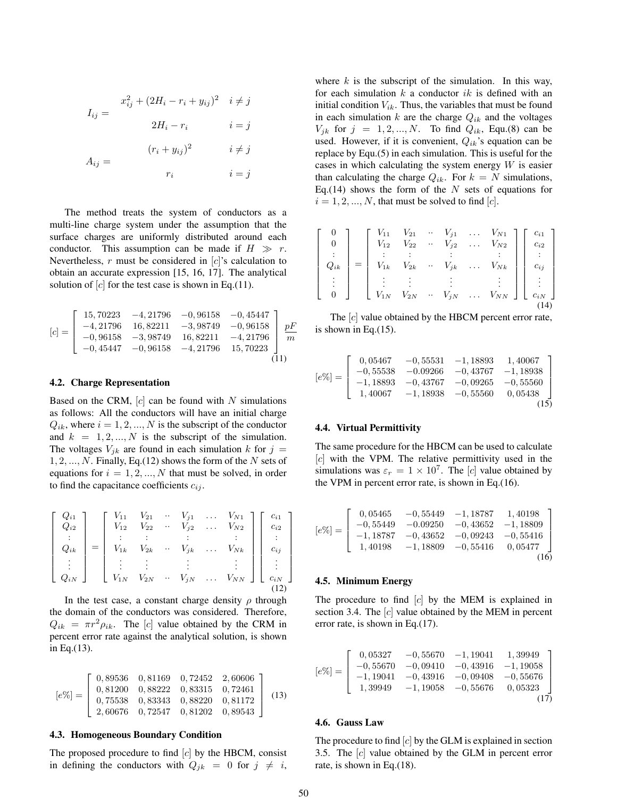$$
I_{ij} = \begin{cases} x_{ij}^2 + (2H_i - r_i + y_{ij})^2 & i \neq j \\ 2H_i - r_i & i = j \end{cases}
$$
\n
$$
A_{ij} = \begin{cases} (r_i + y_{ij})^2 & i \neq j \\ r_i & i = j \end{cases}
$$

The method treats the system of conductors as a multi-line charge system under the assumption that the surface charges are uniformly distributed around each conductor. This assumption can be made if  $H \gg r$ . Nevertheless,  $r$  must be considered in  $[c]$ 's calculation to obtain an accurate expression [15, 16, 17]. The analytical solution of  $[c]$  for the test case is shown in Eq.(11).

$$
[c] = \begin{bmatrix} 15,70223 & -4,21796 & -0,96158 & -0,45447 \ -4,21796 & 16,82211 & -3,98749 & -0,96158 \ -0,96158 & -3,98749 & 16,82211 & -4,21796 \ -0,45447 & -0,96158 & -4,21796 & 15,70223 \end{bmatrix} \frac{pF}{m}
$$
(11)

#### 4.2. Charge Representation

Based on the CRM,  $[c]$  can be found with N simulations as follows: All the conductors will have an initial charge  $Q_{ik}$ , where  $i = 1, 2, ..., N$  is the subscript of the conductor and  $k = 1, 2, ..., N$  is the subscript of the simulation. The voltages  $V_{jk}$  are found in each simulation k for  $j =$  $1, 2, \ldots, N$ . Finally, Eq.(12) shows the form of the N sets of equations for  $i = 1, 2, ..., N$  that must be solved, in order to find the capacitance coefficients  $c_{ij}$ .

$$
\begin{bmatrix}\nQ_{i1} \\
Q_{i2} \\
\vdots \\
Q_{ik} \\
\vdots \\
Q_{iN}\n\end{bmatrix} =\n\begin{bmatrix}\nV_{11} & V_{21} & \cdots & V_{j1} & \cdots & V_{N1} \\
V_{12} & V_{22} & \cdots & V_{j2} & \cdots & V_{N2} \\
\vdots & \vdots & \vdots & \vdots & \vdots & \vdots \\
V_{1k} & V_{2k} & \cdots & V_{jk} & \cdots & V_{Nk} \\
\vdots & \vdots & \vdots & \vdots & \vdots & \vdots \\
V_{1N} & V_{2N} & \cdots & V_{jN} & \cdots & V_{NN}\n\end{bmatrix}\n\begin{bmatrix}\nc_{i1} \\
c_{i2} \\
\vdots \\
c_{ij} \\
c_{iN} \\
\vdots \\
c_{iN}\n\end{bmatrix}
$$

In the test case, a constant charge density  $\rho$  through the domain of the conductors was considered. Therefore,  $Q_{ik} = \pi r^2 \rho_{ik}$ . The [c] value obtained by the CRM in percent error rate against the analytical solution, is shown in Eq.(13).

$$
[e\%] = \left[\begin{array}{cccc} 0,89536 & 0,81169 & 0,72452 & 2,60606 \\ 0,81200 & 0,88222 & 0,83315 & 0,72461 \\ 0,75538 & 0,83343 & 0,88220 & 0,81172 \\ 2,60676 & 0,72547 & 0,81202 & 0,89543 \end{array}\right] (13)
$$

#### 4.3. Homogeneous Boundary Condition

The proposed procedure to find  $[c]$  by the HBCM, consist in defining the conductors with  $Q_{jk} = 0$  for  $j \neq i$ , where  $k$  is the subscript of the simulation. In this way, for each simulation  $k$  a conductor  $ik$  is defined with an initial condition  $V_{ik}$ . Thus, the variables that must be found in each simulation k are the charge  $Q_{ik}$  and the voltages  $V_{ik}$  for  $j = 1, 2, ..., N$ . To find  $Q_{ik}$ , Equ.(8) can be used. However, if it is convenient,  $Q_{ik}$ 's equation can be replace by Equ.(5) in each simulation. This is useful for the cases in which calculating the system energy  $W$  is easier than calculating the charge  $Q_{ik}$ . For  $k = N$  simulations, Eq.(14) shows the form of the  $N$  sets of equations for  $i = 1, 2, ..., N$ , that must be solved to find [c].

$$
\begin{bmatrix}\n0 \\
0 \\
\vdots \\
Q_{ik} \\
0\n\end{bmatrix} = \begin{bmatrix}\nV_{11} & V_{21} & \cdots & V_{j1} & \cdots & V_{N1} \\
V_{12} & V_{22} & \cdots & V_{j2} & \cdots & V_{N2} \\
\vdots & \vdots & \vdots & \vdots & \vdots & \vdots \\
V_{1k} & V_{2k} & \cdots & V_{jk} & \cdots & V_{Nk} \\
\vdots & \vdots & \vdots & \vdots & \vdots & \vdots \\
V_{1N} & V_{2N} & \cdots & V_{jN} & \cdots & V_{NN}\n\end{bmatrix} \begin{bmatrix}\nc_{i1} \\
c_{i2} \\
\vdots \\
c_{ij} \\
c_{iN} \\
\vdots \\
c_{iN}\n\end{bmatrix}
$$

The [c] value obtained by the HBCM percent error rate, is shown in Eq.(15).

$$
[e\%] = \begin{bmatrix} 0,05467 & -0,55531 & -1,18893 & 1,40067 \\ -0,55538 & -0.09266 & -0,43767 & -1,18938 \\ -1,18893 & -0,43767 & -0,09265 & -0,55560 \\ 1,40067 & -1,18938 & -0,55560 & 0,05438 \end{bmatrix}
$$
(15)

## 4.4. Virtual Permittivity

The same procedure for the HBCM can be used to calculate  $[c]$  with the VPM. The relative permittivity used in the simulations was  $\varepsilon_r = 1 \times 10^7$ . The [c] value obtained by the VPM in percent error rate, is shown in Eq.(16).

$$
[e\%] = \begin{bmatrix} 0,05465 & -0,55449 & -1,18787 & 1,40198 \\ -0,55449 & -0.09250 & -0,43652 & -1,18809 \\ -1,18787 & -0,43652 & -0,09243 & -0,55416 \\ 1,40198 & -1,18809 & -0,55416 & 0,05477 \\ \end{bmatrix}
$$
(16)

#### 4.5. Minimum Energy

The procedure to find  $[c]$  by the MEM is explained in section 3.4. The  $[c]$  value obtained by the MEM in percent error rate, is shown in Eq.(17).

$$
[e\%] = \left[\begin{array}{cccc} 0,05327 & -0,55670 & -1,19041 & 1,39949 \\ -0,55670 & -0,09410 & -0,43916 & -1,19058 \\ -1,19041 & -0,43916 & -0,09408 & -0,55676 \\ 1,39949 & -1,19058 & -0,55676 & 0,05323 \end{array}\right] \tag{17}
$$

#### 4.6. Gauss Law

The procedure to find  $[c]$  by the GLM is explained in section 3.5. The [c] value obtained by the GLM in percent error rate, is shown in Eq.(18).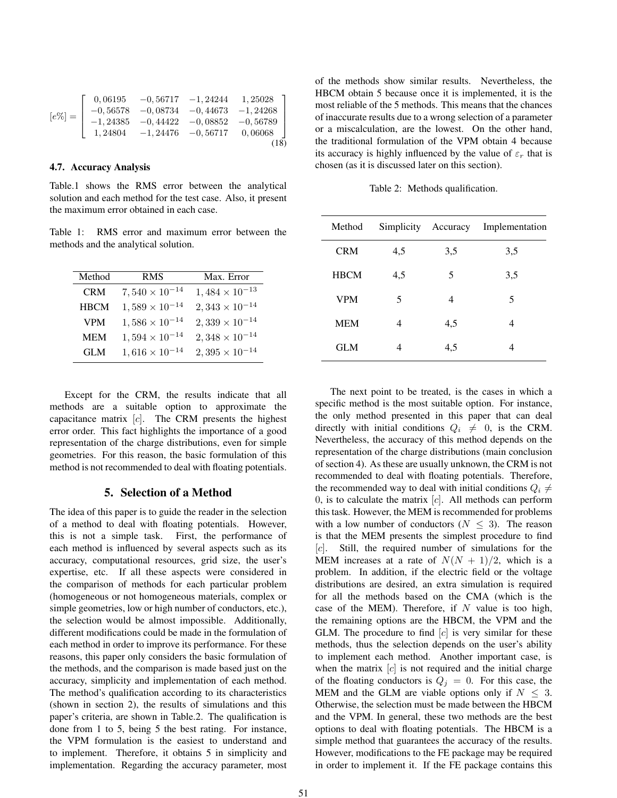|           |  | $0,06195$ $-0,56717$ $-1,24244$ $1,25028$ ] |
|-----------|--|---------------------------------------------|
| $[e\%] =$ |  | $-0,56578$ $-0,08734$ $-0,44673$ $-1,24268$ |
|           |  | $-1,24385$ $-0,44422$ $-0,08852$ $-0,56789$ |
|           |  | $1,24804$ $-1,24476$ $-0,56717$ $0,06068$   |
|           |  |                                             |

## 4.7. Accuracy Analysis

Table.1 shows the RMS error between the analytical solution and each method for the test case. Also, it present the maximum error obtained in each case.

Table 1: RMS error and maximum error between the methods and the analytical solution.

| Method      | <b>RMS</b>              | Max. Error              |
|-------------|-------------------------|-------------------------|
| <b>CRM</b>  | $7,540 \times 10^{-14}$ | $1,484 \times 10^{-13}$ |
| <b>HBCM</b> | $1,589 \times 10^{-14}$ | $2,343 \times 10^{-14}$ |
| <b>VPM</b>  | $1,586 \times 10^{-14}$ | $2,339 \times 10^{-14}$ |
| <b>MEM</b>  | $1,594 \times 10^{-14}$ | $2,348 \times 10^{-14}$ |
| <b>GLM</b>  | $1,616 \times 10^{-14}$ | $2,395 \times 10^{-14}$ |

Except for the CRM, the results indicate that all methods are a suitable option to approximate the capacitance matrix  $[c]$ . The CRM presents the highest error order. This fact highlights the importance of a good representation of the charge distributions, even for simple geometries. For this reason, the basic formulation of this method is not recommended to deal with floating potentials.

# 5. Selection of a Method

The idea of this paper is to guide the reader in the selection of a method to deal with floating potentials. However, this is not a simple task. First, the performance of each method is influenced by several aspects such as its accuracy, computational resources, grid size, the user's expertise, etc. If all these aspects were considered in the comparison of methods for each particular problem (homogeneous or not homogeneous materials, complex or simple geometries, low or high number of conductors, etc.), the selection would be almost impossible. Additionally, different modifications could be made in the formulation of each method in order to improve its performance. For these reasons, this paper only considers the basic formulation of the methods, and the comparison is made based just on the accuracy, simplicity and implementation of each method. The method's qualification according to its characteristics (shown in section 2), the results of simulations and this paper's criteria, are shown in Table.2. The qualification is done from 1 to 5, being 5 the best rating. For instance, the VPM formulation is the easiest to understand and to implement. Therefore, it obtains 5 in simplicity and implementation. Regarding the accuracy parameter, most of the methods show similar results. Nevertheless, the HBCM obtain 5 because once it is implemented, it is the most reliable of the 5 methods. This means that the chances of inaccurate results due to a wrong selection of a parameter or a miscalculation, are the lowest. On the other hand, the traditional formulation of the VPM obtain 4 because its accuracy is highly influenced by the value of  $\varepsilon_r$  that is chosen (as it is discussed later on this section).

Table 2: Methods qualification.

| Method      | Simplicity | Accuracy | Implementation |
|-------------|------------|----------|----------------|
| <b>CRM</b>  | 4,5        | 3,5      | 3,5            |
| <b>HBCM</b> | 4,5        | 5        | 3,5            |
| <b>VPM</b>  | 5          | 4        | 5              |
| <b>MEM</b>  | 4          | 4,5      | 4              |
| GLM         | 4          | 4,5      | 4              |

The next point to be treated, is the cases in which a specific method is the most suitable option. For instance, the only method presented in this paper that can deal directly with initial conditions  $Q_i \neq 0$ , is the CRM. Nevertheless, the accuracy of this method depends on the representation of the charge distributions (main conclusion of section 4). As these are usually unknown, the CRM is not recommended to deal with floating potentials. Therefore, the recommended way to deal with initial conditions  $Q_i \neq$ 0, is to calculate the matrix  $[c]$ . All methods can perform this task. However, the MEM is recommended for problems with a low number of conductors ( $N \leq 3$ ). The reason is that the MEM presents the simplest procedure to find [c]. Still, the required number of simulations for the MEM increases at a rate of  $N(N + 1)/2$ , which is a problem. In addition, if the electric field or the voltage distributions are desired, an extra simulation is required for all the methods based on the CMA (which is the case of the MEM). Therefore, if  $N$  value is too high, the remaining options are the HBCM, the VPM and the GLM. The procedure to find  $[c]$  is very similar for these methods, thus the selection depends on the user's ability to implement each method. Another important case, is when the matrix  $[c]$  is not required and the initial charge of the floating conductors is  $Q_j = 0$ . For this case, the MEM and the GLM are viable options only if  $N \leq 3$ . Otherwise, the selection must be made between the HBCM and the VPM. In general, these two methods are the best options to deal with floating potentials. The HBCM is a simple method that guarantees the accuracy of the results. However, modifications to the FE package may be required in order to implement it. If the FE package contains this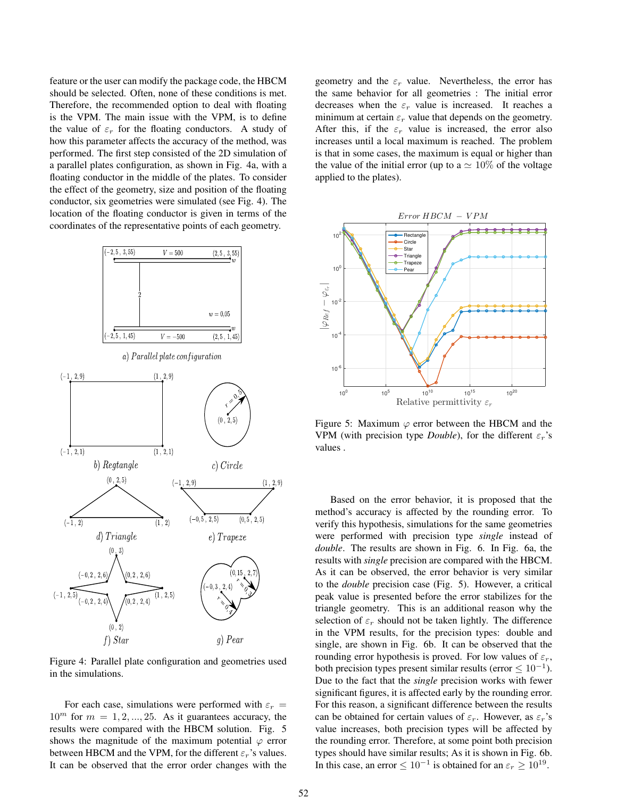feature or the user can modify the package code, the HBCM should be selected. Often, none of these conditions is met. Therefore, the recommended option to deal with floating is the VPM. The main issue with the VPM, is to define the value of  $\varepsilon_r$  for the floating conductors. A study of how this parameter affects the accuracy of the method, was performed. The first step consisted of the 2D simulation of a parallel plates configuration, as shown in Fig. 4a, with a floating conductor in the middle of the plates. To consider the effect of the geometry, size and position of the floating conductor, six geometries were simulated (see Fig. 4). The location of the floating conductor is given in terms of the coordinates of the representative points of each geometry.



Figure 4: Parallel plate configuration and geometries used in the simulations.

For each case, simulations were performed with  $\varepsilon_r$  =  $10^m$  for  $m = 1, 2, ..., 25$ . As it guarantees accuracy, the results were compared with the HBCM solution. Fig. 5 shows the magnitude of the maximum potential  $\varphi$  error between HBCM and the VPM, for the different  $\varepsilon_r$ 's values. It can be observed that the error order changes with the geometry and the  $\varepsilon_r$  value. Nevertheless, the error has the same behavior for all geometries : The initial error decreases when the  $\varepsilon_r$  value is increased. It reaches a minimum at certain  $\varepsilon_r$  value that depends on the geometry. After this, if the  $\varepsilon_r$  value is increased, the error also increases until a local maximum is reached. The problem is that in some cases, the maximum is equal or higher than the value of the initial error (up to a  $\simeq 10\%$  of the voltage applied to the plates).



Figure 5: Maximum  $\varphi$  error between the HBCM and the VPM (with precision type *Double*), for the different  $\varepsilon_r$ 's values .

Based on the error behavior, it is proposed that the method's accuracy is affected by the rounding error. To verify this hypothesis, simulations for the same geometries were performed with precision type *single* instead of *double*. The results are shown in Fig. 6. In Fig. 6a, the results with *single* precision are compared with the HBCM. As it can be observed, the error behavior is very similar to the *double* precision case (Fig. 5). However, a critical peak value is presented before the error stabilizes for the triangle geometry. This is an additional reason why the selection of  $\varepsilon_r$  should not be taken lightly. The difference in the VPM results, for the precision types: double and single, are shown in Fig. 6b. It can be observed that the rounding error hypothesis is proved. For low values of  $\varepsilon_r$ , both precision types present similar results (error  $\leq 10^{-1}$ ). Due to the fact that the *single* precision works with fewer significant figures, it is affected early by the rounding error. For this reason, a significant difference between the results can be obtained for certain values of  $\varepsilon_r$ . However, as  $\varepsilon_r$ 's value increases, both precision types will be affected by the rounding error. Therefore, at some point both precision types should have similar results; As it is shown in Fig. 6b. In this case, an error  $\leq 10^{-1}$  is obtained for an  $\varepsilon_r \geq 10^{19}$ .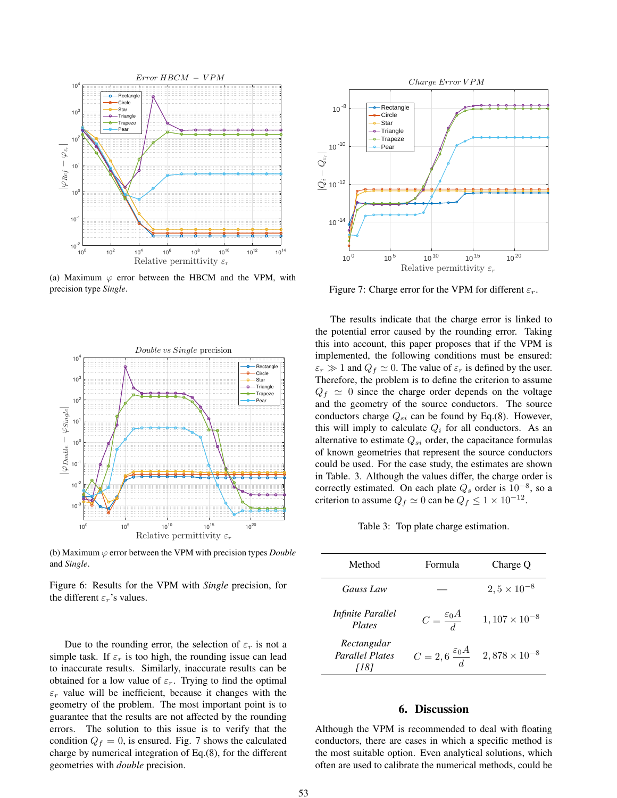

(a) Maximum  $\varphi$  error between the HBCM and the VPM, with precision type *Single*.



(b) Maximum  $\varphi$  error between the VPM with precision types *Double* and *Single*.

Figure 6: Results for the VPM with *Single* precision, for the different  $\varepsilon_r$ 's values.

Due to the rounding error, the selection of  $\varepsilon_r$  is not a simple task. If  $\varepsilon_r$  is too high, the rounding issue can lead to inaccurate results. Similarly, inaccurate results can be obtained for a low value of  $\varepsilon_r$ . Trying to find the optimal  $\varepsilon_r$  value will be inefficient, because it changes with the geometry of the problem. The most important point is to guarantee that the results are not affected by the rounding errors. The solution to this issue is to verify that the condition  $Q_f = 0$ , is ensured. Fig. 7 shows the calculated charge by numerical integration of Eq.(8), for the different geometries with *double* precision.



Figure 7: Charge error for the VPM for different  $\varepsilon_r$ .

The results indicate that the charge error is linked to the potential error caused by the rounding error. Taking this into account, this paper proposes that if the VPM is implemented, the following conditions must be ensured:  $\varepsilon_r \gg 1$  and  $Q_f \simeq 0$ . The value of  $\varepsilon_r$  is defined by the user. Therefore, the problem is to define the criterion to assume  $Q_f \simeq 0$  since the charge order depends on the voltage and the geometry of the source conductors. The source conductors charge  $Q_{si}$  can be found by Eq.(8). However, this will imply to calculate  $Q_i$  for all conductors. As an alternative to estimate  $Q_{si}$  order, the capacitance formulas of known geometries that represent the source conductors could be used. For the case study, the estimates are shown in Table. 3. Although the values differ, the charge order is correctly estimated. On each plate  $Q_s$  order is  $10^{-8}$ , so a criterion to assume  $Q_f \simeq 0$  can be  $Q_f \leq 1 \times 10^{-12}$ .

Table 3: Top plate charge estimation.

| Method                                | Formula                          | Charge Q               |
|---------------------------------------|----------------------------------|------------------------|
| Gauss Law                             |                                  | $2, 5 \times 10^{-8}$  |
| <i>Infinite Parallel</i><br>Plates    | $C = \frac{\varepsilon_0 A}{d}$  | $1,107 \times 10^{-8}$ |
| Rectangular<br><b>Parallel Plates</b> | $C=2,6\frac{\varepsilon_0 A}{d}$ | $2,878 \times 10^{-8}$ |

# 6. Discussion

Although the VPM is recommended to deal with floating conductors, there are cases in which a specific method is the most suitable option. Even analytical solutions, which often are used to calibrate the numerical methods, could be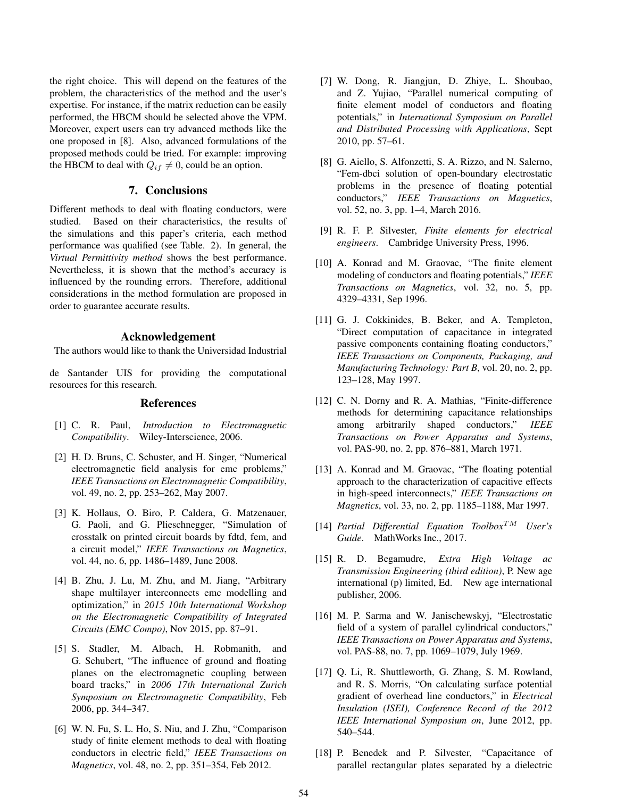the right choice. This will depend on the features of the problem, the characteristics of the method and the user's expertise. For instance, if the matrix reduction can be easily performed, the HBCM should be selected above the VPM. Moreover, expert users can try advanced methods like the one proposed in [8]. Also, advanced formulations of the proposed methods could be tried. For example: improving the HBCM to deal with  $Q_{if} \neq 0$ , could be an option.

# 7. Conclusions

Different methods to deal with floating conductors, were studied. Based on their characteristics, the results of the simulations and this paper's criteria, each method performance was qualified (see Table. 2). In general, the *Virtual Permittivity method* shows the best performance. Nevertheless, it is shown that the method's accuracy is influenced by the rounding errors. Therefore, additional considerations in the method formulation are proposed in order to guarantee accurate results.

# Acknowledgement

The authors would like to thank the Universidad Industrial

de Santander UIS for providing the computational resources for this research.

## References

- [1] C. R. Paul, *Introduction to Electromagnetic Compatibility*. Wiley-Interscience, 2006.
- [2] H. D. Bruns, C. Schuster, and H. Singer, "Numerical electromagnetic field analysis for emc problems," *IEEE Transactions on Electromagnetic Compatibility*, vol. 49, no. 2, pp. 253–262, May 2007.
- [3] K. Hollaus, O. Biro, P. Caldera, G. Matzenauer, G. Paoli, and G. Plieschnegger, "Simulation of crosstalk on printed circuit boards by fdtd, fem, and a circuit model," *IEEE Transactions on Magnetics*, vol. 44, no. 6, pp. 1486–1489, June 2008.
- [4] B. Zhu, J. Lu, M. Zhu, and M. Jiang, "Arbitrary shape multilayer interconnects emc modelling and optimization," in *2015 10th International Workshop on the Electromagnetic Compatibility of Integrated Circuits (EMC Compo)*, Nov 2015, pp. 87–91.
- [5] S. Stadler, M. Albach, H. Robmanith, and G. Schubert, "The influence of ground and floating planes on the electromagnetic coupling between board tracks," in *2006 17th International Zurich Symposium on Electromagnetic Compatibility*, Feb 2006, pp. 344–347.
- [6] W. N. Fu, S. L. Ho, S. Niu, and J. Zhu, "Comparison study of finite element methods to deal with floating conductors in electric field," *IEEE Transactions on Magnetics*, vol. 48, no. 2, pp. 351–354, Feb 2012.
- [7] W. Dong, R. Jiangjun, D. Zhiye, L. Shoubao, and Z. Yujiao, "Parallel numerical computing of finite element model of conductors and floating potentials," in *International Symposium on Parallel and Distributed Processing with Applications*, Sept 2010, pp. 57–61.
- [8] G. Aiello, S. Alfonzetti, S. A. Rizzo, and N. Salerno, "Fem-dbci solution of open-boundary electrostatic problems in the presence of floating potential conductors," *IEEE Transactions on Magnetics*, vol. 52, no. 3, pp. 1–4, March 2016.
- [9] R. F. P. Silvester, *Finite elements for electrical engineers*. Cambridge University Press, 1996.
- [10] A. Konrad and M. Graovac, "The finite element modeling of conductors and floating potentials," *IEEE Transactions on Magnetics*, vol. 32, no. 5, pp. 4329–4331, Sep 1996.
- [11] G. J. Cokkinides, B. Beker, and A. Templeton, "Direct computation of capacitance in integrated passive components containing floating conductors," *IEEE Transactions on Components, Packaging, and Manufacturing Technology: Part B*, vol. 20, no. 2, pp. 123–128, May 1997.
- [12] C. N. Dorny and R. A. Mathias, "Finite-difference" methods for determining capacitance relationships among arbitrarily shaped conductors," *IEEE Transactions on Power Apparatus and Systems*, vol. PAS-90, no. 2, pp. 876–881, March 1971.
- [13] A. Konrad and M. Graovac, "The floating potential approach to the characterization of capacitive effects in high-speed interconnects," *IEEE Transactions on Magnetics*, vol. 33, no. 2, pp. 1185–1188, Mar 1997.
- [14] *Partial Differential Equation Toolbox*TM *User's Guide*. MathWorks Inc., 2017.
- [15] R. D. Begamudre, *Extra High Voltage ac Transmission Engineering (third edition)*, P. New age international (p) limited, Ed. New age international publisher, 2006.
- [16] M. P. Sarma and W. Janischewskyj, "Electrostatic field of a system of parallel cylindrical conductors," *IEEE Transactions on Power Apparatus and Systems*, vol. PAS-88, no. 7, pp. 1069–1079, July 1969.
- [17] Q. Li, R. Shuttleworth, G. Zhang, S. M. Rowland, and R. S. Morris, "On calculating surface potential gradient of overhead line conductors," in *Electrical Insulation (ISEI), Conference Record of the 2012 IEEE International Symposium on*, June 2012, pp. 540–544.
- [18] P. Benedek and P. Silvester, "Capacitance of parallel rectangular plates separated by a dielectric